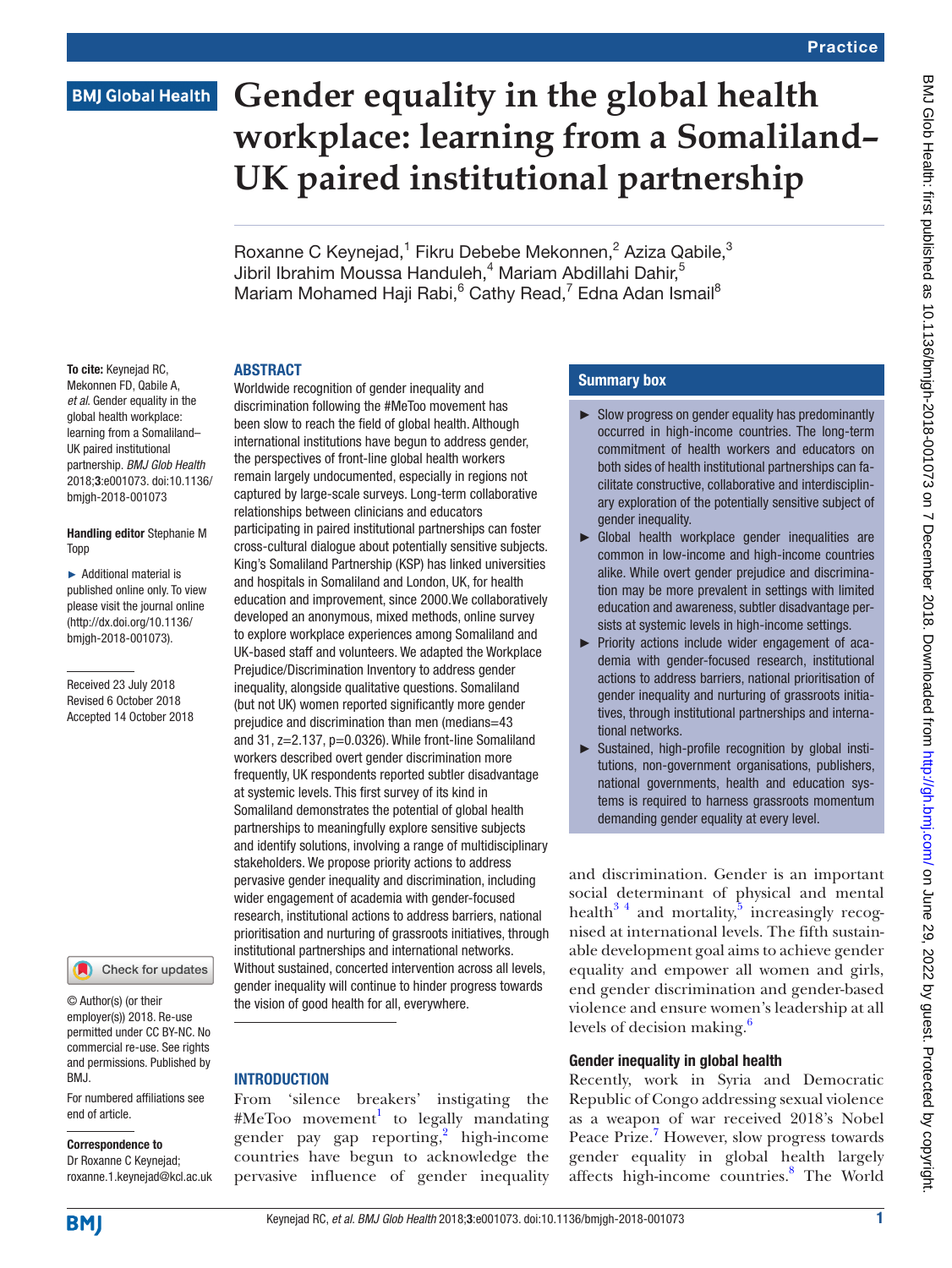# **Gender equality in the global health workplace: learning from a Somaliland– UK paired institutional partnership**

Roxanne C Keynejad,<sup>1</sup> Fikru Debebe Mekonnen,<sup>2</sup> Aziza Qabile,<sup>3</sup> Jibril Ibrahim Moussa Handuleh,<sup>4</sup> Mariam Abdillahi Dahir,<sup>5</sup> Mariam Mohamed Haji Rabi, <sup>6</sup> Cathy Read, <sup>7</sup> Edna Adan Ismail<sup>8</sup>

#### **ABSTRACT**

To cite: Keynejad RC, Mekonnen FD, Qabile A, *et al*. Gender equality in the global health workplace: learning from a Somaliland– UK paired institutional partnership. *BMJ Glob Health* 2018;3:e001073. doi:10.1136/ bmjgh-2018-001073

#### Handling editor Stephanie M **Topp**

► Additional material is published online only. To view please visit the journal online ([http://dx.doi.org/10.1136/](http://dx.doi.org/10.1136/bmjgh-2018-001073) [bmjgh-2018-001073\)](http://dx.doi.org/10.1136/bmjgh-2018-001073).

Received 23 July 2018 Revised 6 October 2018 Accepted 14 October 2018



© Author(s) (or their employer(s)) 2018. Re-use permitted under CC BY-NC. No commercial re-use. See rights and permissions. Published by BMJ.

For numbered affiliations see end of article.

#### Correspondence to

Dr Roxanne C Keynejad; roxanne.1.keynejad@kcl.ac.uk

Worldwide recognition of gender inequality and discrimination following the #MeToo movement has been slow to reach the field of global health. Although international institutions have begun to address gender, the perspectives of front-line global health workers remain largely undocumented, especially in regions not captured by large-scale surveys. Long-term collaborative relationships between clinicians and educators participating in paired institutional partnerships can foster cross-cultural dialogue about potentially sensitive subjects. King's Somaliland Partnership (KSP) has linked universities and hospitals in Somaliland and London, UK, for health education and improvement, since 2000.We collaboratively developed an anonymous, mixed methods, online survey to explore workplace experiences among Somaliland and UK-based staff and volunteers. We adapted the Workplace Prejudice/Discrimination Inventory to address gender inequality, alongside qualitative questions. Somaliland (but not UK) women reported significantly more gender prejudice and discrimination than men (medians=43 and 31, z=2.137, p=0.0326). While front-line Somaliland workers described overt gender discrimination more frequently, UK respondents reported subtler disadvantage at systemic levels. This first survey of its kind in Somaliland demonstrates the potential of global health partnerships to meaningfully explore sensitive subjects and identify solutions, involving a range of multidisciplinary stakeholders. We propose priority actions to address pervasive gender inequality and discrimination, including wider engagement of academia with gender-focused research, institutional actions to address barriers, national prioritisation and nurturing of grassroots initiatives, through institutional partnerships and international networks. Without sustained, concerted intervention across all levels, gender inequality will continue to hinder progress towards the vision of good health for all, everywhere.

### **INTRODUCTION**

From 'silence breakers' instigating the #MeToo movement<sup>[1](#page-5-0)</sup> to legally mandating gender pay gap reporting,<sup>[2](#page-5-1)</sup> high-income countries have begun to acknowledge the pervasive influence of gender inequality

### Summary box

- $\blacktriangleright$  Slow progress on gender equality has predominantly occurred in high-income countries. The long-term commitment of health workers and educators on both sides of health institutional partnerships can facilitate constructive, collaborative and interdisciplinary exploration of the potentially sensitive subject of gender inequality.
- ► Global health workplace gender inequalities are common in low-income and high-income countries alike. While overt gender prejudice and discrimination may be more prevalent in settings with limited education and awareness, subtler disadvantage persists at systemic levels in high-income settings.
- ► Priority actions include wider engagement of academia with gender-focused research, institutional actions to address barriers, national prioritisation of gender inequality and nurturing of grassroots initiatives, through institutional partnerships and international networks.
- ► Sustained, high-profile recognition by global institutions, non-government organisations, publishers, national governments, health and education systems is required to harness grassroots momentum demanding gender equality at every level.

and discrimination. Gender is an important social determinant of physical and mental health<sup>34</sup> and mortality,<sup>5</sup> increasingly recognised at international levels. The fifth sustainable development goal aims to achieve gender equality and empower all women and girls, end gender discrimination and gender-based violence and ensure women's leadership at all levels of decision making. $6$ 

### Gender inequality in global health

Recently, work in Syria and Democratic Republic of Congo addressing sexual violence as a weapon of war received 2018's Nobel Peace Prize.<sup>[7](#page-5-5)</sup> However, slow progress towards gender equality in global health largely affects high-income countries.<sup>[8](#page-5-6)</sup> The World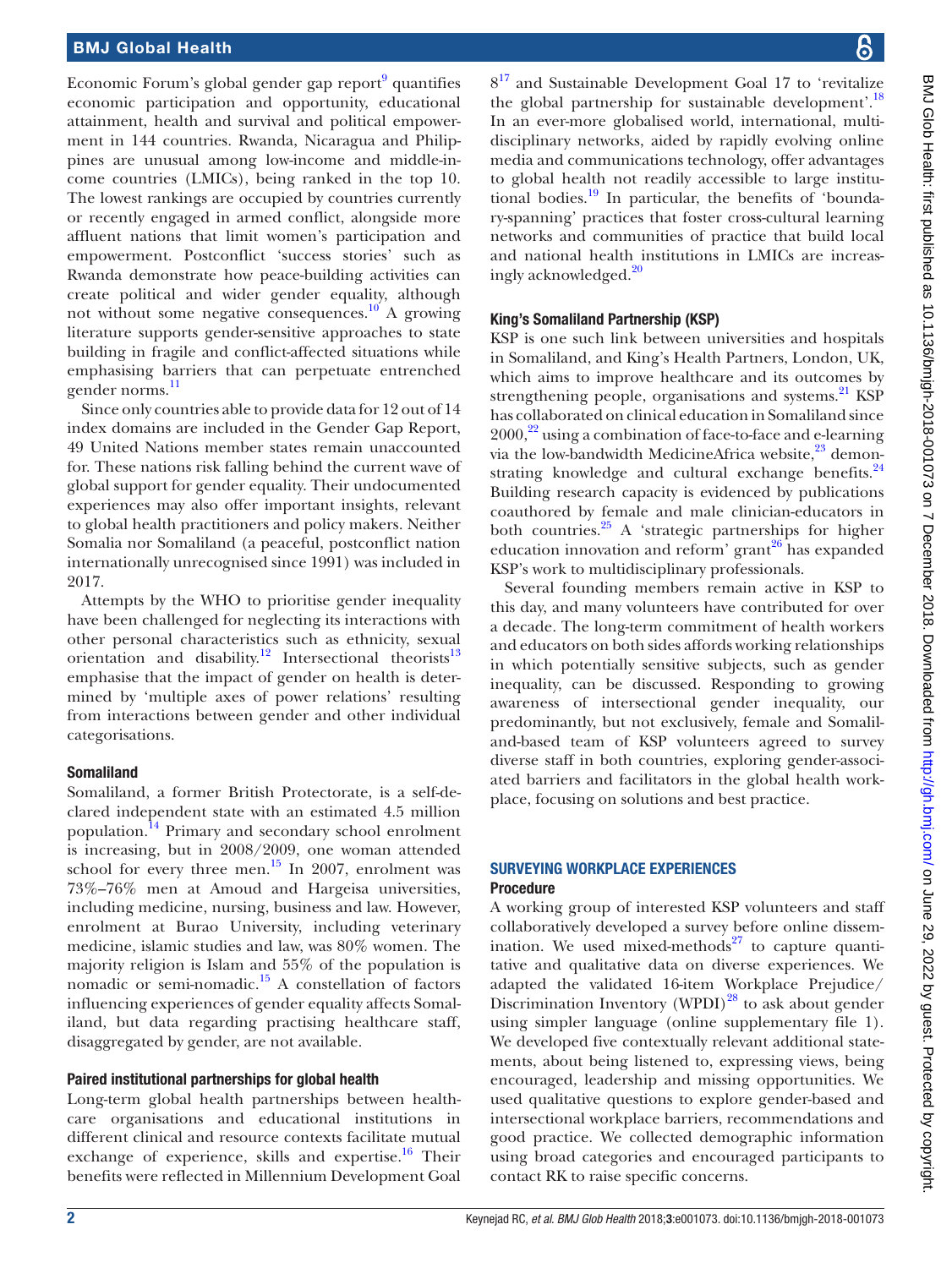Economic Forum's global gender gap report<sup>[9](#page-5-7)</sup> quantifies economic participation and opportunity, educational attainment, health and survival and political empowerment in 144 countries. Rwanda, Nicaragua and Philippines are unusual among low-income and middle-income countries (LMICs), being ranked in the top 10. The lowest rankings are occupied by countries currently or recently engaged in armed conflict, alongside more affluent nations that limit women's participation and empowerment. Postconflict 'success stories' such as Rwanda demonstrate how peace-building activities can create political and wider gender equality, although not without some negative consequences.<sup>10</sup> A growing literature supports gender-sensitive approaches to state building in fragile and conflict-affected situations while emphasising barriers that can perpetuate entrenched gender norms.<sup>[11](#page-5-9)</sup>

Since only countries able to provide data for 12 out of 14 index domains are included in the Gender Gap Report, 49 United Nations member states remain unaccounted for. These nations risk falling behind the current wave of global support for gender equality. Their undocumented experiences may also offer important insights, relevant to global health practitioners and policy makers. Neither Somalia nor Somaliland (a peaceful, postconflict nation internationally unrecognised since 1991) was included in 2017.

Attempts by the WHO to prioritise gender inequality have been challenged for neglecting its interactions with other personal characteristics such as ethnicity, sexual orientation and disability.<sup>12</sup> Intersectional theorists<sup>13</sup> emphasise that the impact of gender on health is determined by 'multiple axes of power relations' resulting from interactions between gender and other individual categorisations.

#### Somaliland

Somaliland, a former British Protectorate, is a self-declared independent state with an estimated 4.5 million population.[14](#page-5-12) Primary and secondary school enrolment is increasing, but in 2008/2009, one woman attended school for every three men.<sup>[15](#page-5-13)</sup> In 2007, enrolment was 73%–76% men at Amoud and Hargeisa universities, including medicine, nursing, business and law. However, enrolment at Burao University, including veterinary medicine, islamic studies and law, was 80% women. The majority religion is Islam and 55% of the population is nomadic or semi-nomadic.[15](#page-5-13) A constellation of factors influencing experiences of gender equality affects Somaliland, but data regarding practising healthcare staff, disaggregated by gender, are not available.

#### Paired institutional partnerships for global health

Long-term global health partnerships between healthcare organisations and educational institutions in different clinical and resource contexts facilitate mutual exchange of experience, skills and expertise.<sup>16</sup> Their benefits were reflected in Millennium Development Goal

 $8^{17}$  and Sustainable Development Goal 17 to 'revitalize the global partnership for sustainable development'[.18](#page-5-16) In an ever-more globalised world, international, multidisciplinary networks, aided by rapidly evolving online media and communications technology, offer advantages to global health not readily accessible to large institutional bodies. $19$  In particular, the benefits of 'boundary-spanning' practices that foster cross-cultural learning networks and communities of practice that build local and national health institutions in LMICs are increasingly acknowledged.<sup>20</sup>

#### King's Somaliland Partnership (KSP)

KSP is one such link between universities and hospitals in Somaliland, and King's Health Partners, London, UK, which aims to improve healthcare and its outcomes by strengthening people, organisations and systems.<sup>21</sup> KSP has collaborated on clinical education in Somaliland since  $2000$ ,  $^{22}$  $^{22}$  $^{22}$  using a combination of face-to-face and e-learning via the low-bandwidth MedicineAfrica website, $^{23}$  demonstrating knowledge and cultural exchange benefits. $^{24}$ Building research capacity is evidenced by publications coauthored by female and male clinician-educators in both countries. $25$  A 'strategic partnerships for higher education innovation and reform' grant $^{26}$  has expanded KSP's work to multidisciplinary professionals.

Several founding members remain active in KSP to this day, and many volunteers have contributed for over a decade. The long-term commitment of health workers and educators on both sides affords working relationships in which potentially sensitive subjects, such as gender inequality, can be discussed. Responding to growing awareness of intersectional gender inequality, our predominantly, but not exclusively, female and Somaliland-based team of KSP volunteers agreed to survey diverse staff in both countries, exploring gender-associated barriers and facilitators in the global health workplace, focusing on solutions and best practice.

#### Surveying workplace experiences Procedure

A working group of interested KSP volunteers and staff collaboratively developed a survey before online dissemination. We used mixed-methods $27$  to capture quantitative and qualitative data on diverse experiences. We adapted the validated 16-item Workplace Prejudice/ Discrimination Inventory (WPDI) $^{28}$  to ask about gender using simpler language ([online supplementary file 1](https://dx.doi.org/10.1136/bmjgh-2018-001073)). We developed five contextually relevant additional statements, about being listened to, expressing views, being encouraged, leadership and missing opportunities. We used qualitative questions to explore gender-based and intersectional workplace barriers, recommendations and good practice. We collected demographic information using broad categories and encouraged participants to contact RK to raise specific concerns.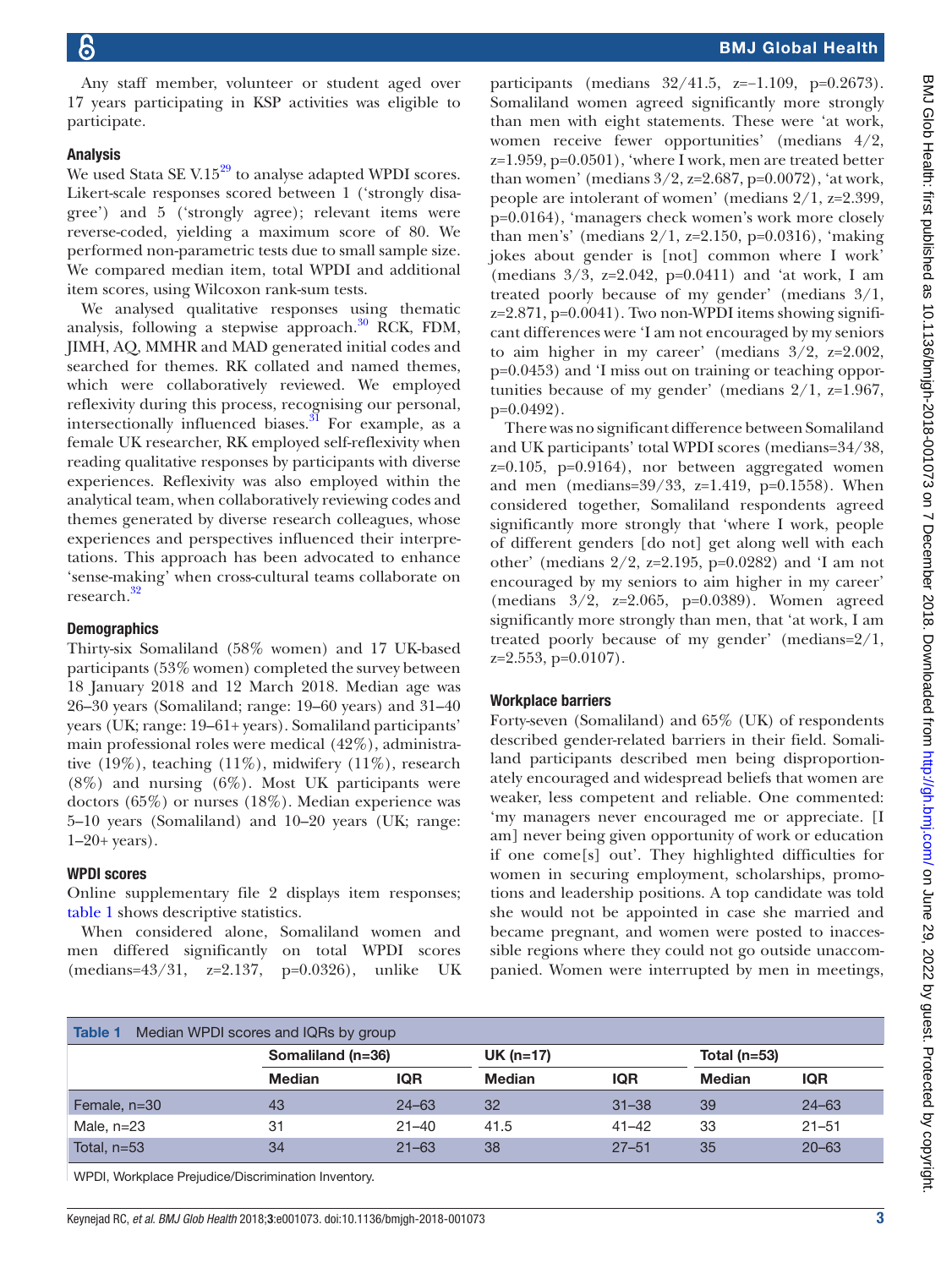Any staff member, volunteer or student aged over 17 years participating in KSP activities was eligible to participate.

#### Analysis

We used Stata SE V.15<sup>29</sup> to analyse adapted WPDI scores. Likert-scale responses scored between 1 ('strongly disagree') and 5 ('strongly agree); relevant items were reverse-coded, yielding a maximum score of 80. We performed non-parametric tests due to small sample size. We compared median item, total WPDI and additional item scores, using Wilcoxon rank-sum tests.

We analysed qualitative responses using thematic analysis, following a stepwise approach. $30\,$  RCK, FDM, JIMH, AQ, MMHR and MAD generated initial codes and searched for themes. RK collated and named themes, which were collaboratively reviewed. We employed reflexivity during this process, recognising our personal, intersectionally influenced biases. $31$  For example, as a female UK researcher, RK employed self-reflexivity when reading qualitative responses by participants with diverse experiences. Reflexivity was also employed within the analytical team, when collaboratively reviewing codes and themes generated by diverse research colleagues, whose experiences and perspectives influenced their interpretations. This approach has been advocated to enhance 'sense-making' when cross-cultural teams collaborate on research.<sup>[32](#page-6-6)</sup>

#### **Demographics**

Thirty-six Somaliland (58% women) and 17 UK-based participants (53% women) completed the survey between 18 January 2018 and 12 March 2018. Median age was 26–30 years (Somaliland; range: 19–60 years) and 31–40 years (UK; range: 19–61+ years). Somaliland participants' main professional roles were medical (42%), administrative (19%), teaching (11%), midwifery (11%), research (8%) and nursing (6%). Most UK participants were doctors (65%) or nurses (18%). Median experience was 5–10 years (Somaliland) and 10–20 years (UK; range:  $1-20+$  years).

#### WPDI scores

[Online supplementary file 2](https://dx.doi.org/10.1136/bmjgh-2018-001073) displays item responses; [table](#page-2-0) 1 shows descriptive statistics.

When considered alone, Somaliland women and men differed significantly on total WPDI scores (medians=43/31, z=2.137, p=0.0326), unlike UK

participants (medians 32/41.5, z=−1.109, p=0.2673). Somaliland women agreed significantly more strongly than men with eight statements. These were 'at work, women receive fewer opportunities' (medians 4/2, z=1.959, p=0.0501), 'where I work, men are treated better than women' (medians  $3/2$ ,  $z=2.687$ ,  $p=0.0072$ ), 'at work, people are intolerant of women' (medians 2/1, z=2.399, p=0.0164), 'managers check women's work more closely than men's' (medians  $2/1$ ,  $z=2.150$ ,  $p=0.0316$ ), 'making jokes about gender is [not] common where I work' (medians  $3/3$ ,  $z=2.042$ ,  $p=0.0411$ ) and 'at work, I am treated poorly because of my gender' (medians 3/1,  $z=2.871$ ,  $p=0.0041$ ). Two non-WPDI items showing significant differences were 'I am not encouraged by my seniors to aim higher in my career' (medians  $3/2$ ,  $z=2.002$ , p=0.0453) and 'I miss out on training or teaching opportunities because of my gender' (medians  $2/1$ ,  $z=1.967$ , p=0.0492).

There was no significant difference between Somaliland and UK participants' total WPDI scores (medians=34/38,  $z=0.105$ ,  $p=0.9164$ , nor between aggregated women and men (medians=39/33, z=1.419, p=0.1558). When considered together, Somaliland respondents agreed significantly more strongly that 'where I work, people of different genders [do not] get along well with each other' (medians 2/2, z=2.195, p=0.0282) and 'I am not encouraged by my seniors to aim higher in my career' (medians 3/2, z=2.065, p=0.0389). Women agreed significantly more strongly than men, that 'at work, I am treated poorly because of my gender' (medians=2/1,  $z=2.553$ ,  $p=0.0107$ ).

#### Workplace barriers

Forty-seven (Somaliland) and 65% (UK) of respondents described gender-related barriers in their field. Somaliland participants described men being disproportionately encouraged and widespread beliefs that women are weaker, less competent and reliable. One commented: 'my managers never encouraged me or appreciate. [I am] never being given opportunity of work or education if one come[s] out'. They highlighted difficulties for women in securing employment, scholarships, promotions and leadership positions. A top candidate was told she would not be appointed in case she married and became pregnant, and women were posted to inaccessible regions where they could not go outside unaccompanied. Women were interrupted by men in meetings,

<span id="page-2-0"></span>

| Median WPDI scores and IQRs by group<br><b>Table 1</b> |                   |            |               |            |                  |            |
|--------------------------------------------------------|-------------------|------------|---------------|------------|------------------|------------|
|                                                        | Somaliland (n=36) |            | UK $(n=17)$   |            | Total ( $n=53$ ) |            |
|                                                        | <b>Median</b>     | <b>IQR</b> | <b>Median</b> | <b>IQR</b> | <b>Median</b>    | <b>IQR</b> |
| Female, n=30                                           | 43                | $24 - 63$  | 32            | $31 - 38$  | 39               | $24 - 63$  |
| Male, $n=23$                                           | 31                | $21 - 40$  | 41.5          | $41 - 42$  | 33               | $21 - 51$  |
| Total, $n=53$                                          | 34                | $21 - 63$  | 38            | $27 - 51$  | 35               | $20 - 63$  |

WPDI, Workplace Prejudice/Discrimination Inventory.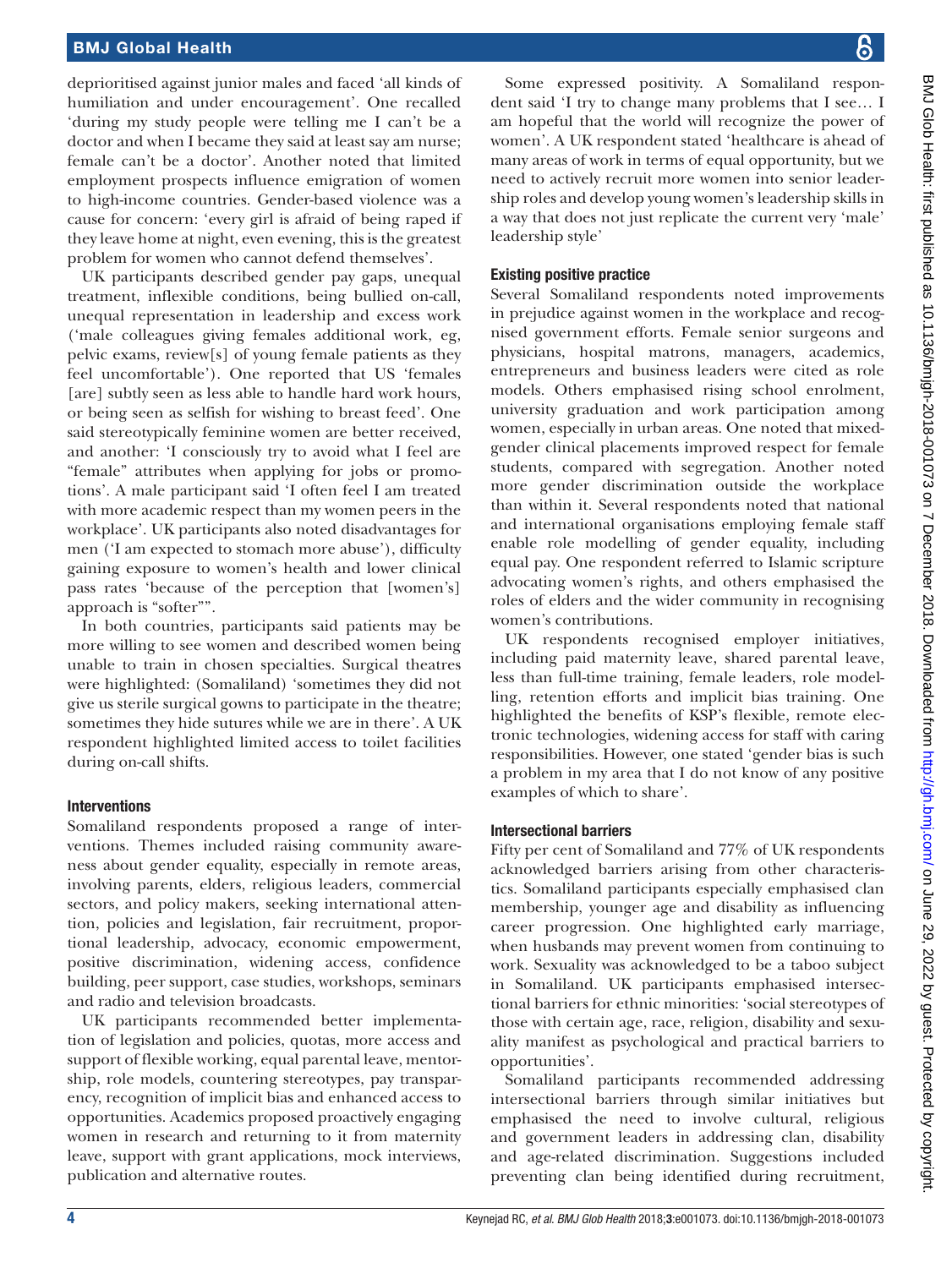deprioritised against junior males and faced 'all kinds of humiliation and under encouragement'. One recalled 'during my study people were telling me I can't be a doctor and when I became they said at least say am nurse; female can't be a doctor'. Another noted that limited employment prospects influence emigration of women to high-income countries. Gender-based violence was a cause for concern: 'every girl is afraid of being raped if they leave home at night, even evening, this is the greatest problem for women who cannot defend themselves'.

UK participants described gender pay gaps, unequal treatment, inflexible conditions, being bullied on-call, unequal representation in leadership and excess work ('male colleagues giving females additional work, eg, pelvic exams, review[s] of young female patients as they feel uncomfortable'). One reported that US 'females [are] subtly seen as less able to handle hard work hours, or being seen as selfish for wishing to breast feed'. One said stereotypically feminine women are better received, and another: 'I consciously try to avoid what I feel are "female" attributes when applying for jobs or promotions'. A male participant said 'I often feel I am treated with more academic respect than my women peers in the workplace'. UK participants also noted disadvantages for men ('I am expected to stomach more abuse'), difficulty gaining exposure to women's health and lower clinical pass rates 'because of the perception that [women's] approach is "softer"''.

In both countries, participants said patients may be more willing to see women and described women being unable to train in chosen specialties. Surgical theatres were highlighted: (Somaliland) 'sometimes they did not give us sterile surgical gowns to participate in the theatre; sometimes they hide sutures while we are in there'. A UK respondent highlighted limited access to toilet facilities during on-call shifts.

#### Interventions

Somaliland respondents proposed a range of interventions. Themes included raising community awareness about gender equality, especially in remote areas, involving parents, elders, religious leaders, commercial sectors, and policy makers, seeking international attention, policies and legislation, fair recruitment, proportional leadership, advocacy, economic empowerment, positive discrimination, widening access, confidence building, peer support, case studies, workshops, seminars and radio and television broadcasts.

UK participants recommended better implementation of legislation and policies, quotas, more access and support of flexible working, equal parental leave, mentorship, role models, countering stereotypes, pay transparency, recognition of implicit bias and enhanced access to opportunities. Academics proposed proactively engaging women in research and returning to it from maternity leave, support with grant applications, mock interviews, publication and alternative routes.

Some expressed positivity. A Somaliland respondent said 'I try to change many problems that I see… I am hopeful that the world will recognize the power of women'. A UK respondent stated 'healthcare is ahead of many areas of work in terms of equal opportunity, but we need to actively recruit more women into senior leadership roles and develop young women's leadership skills in a way that does not just replicate the current very 'male' leadership style'

#### Existing positive practice

Several Somaliland respondents noted improvements in prejudice against women in the workplace and recognised government efforts. Female senior surgeons and physicians, hospital matrons, managers, academics, entrepreneurs and business leaders were cited as role models. Others emphasised rising school enrolment, university graduation and work participation among women, especially in urban areas. One noted that mixedgender clinical placements improved respect for female students, compared with segregation. Another noted more gender discrimination outside the workplace than within it. Several respondents noted that national and international organisations employing female staff enable role modelling of gender equality, including equal pay. One respondent referred to Islamic scripture advocating women's rights, and others emphasised the roles of elders and the wider community in recognising women's contributions.

UK respondents recognised employer initiatives, including paid maternity leave, shared parental leave, less than full-time training, female leaders, role modelling, retention efforts and implicit bias training. One highlighted the benefits of KSP's flexible, remote electronic technologies, widening access for staff with caring responsibilities. However, one stated 'gender bias is such a problem in my area that I do not know of any positive examples of which to share'.

#### Intersectional barriers

Fifty per cent of Somaliland and 77% of UK respondents acknowledged barriers arising from other characteristics. Somaliland participants especially emphasised clan membership, younger age and disability as influencing career progression. One highlighted early marriage, when husbands may prevent women from continuing to work. Sexuality was acknowledged to be a taboo subject in Somaliland. UK participants emphasised intersectional barriers for ethnic minorities: 'social stereotypes of those with certain age, race, religion, disability and sexuality manifest as psychological and practical barriers to opportunities'.

Somaliland participants recommended addressing intersectional barriers through similar initiatives but emphasised the need to involve cultural, religious and government leaders in addressing clan, disability and age-related discrimination. Suggestions included preventing clan being identified during recruitment,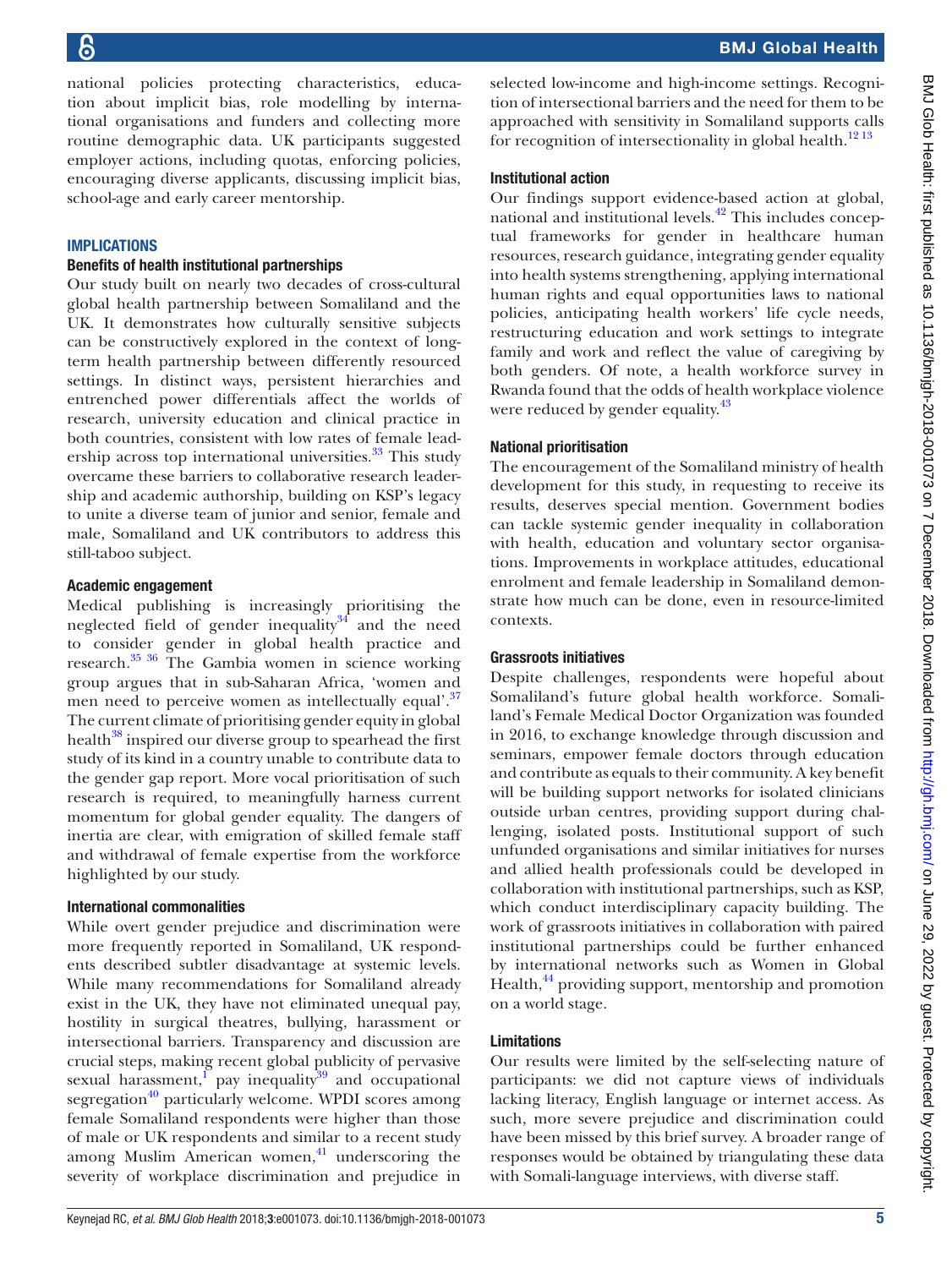national policies protecting characteristics, education about implicit bias, role modelling by international organisations and funders and collecting more routine demographic data. UK participants suggested employer actions, including quotas, enforcing policies, encouraging diverse applicants, discussing implicit bias, school-age and early career mentorship.

#### **IMPLICATIONS**

#### Benefits of health institutional partnerships

Our study built on nearly two decades of cross-cultural global health partnership between Somaliland and the UK. It demonstrates how culturally sensitive subjects can be constructively explored in the context of longterm health partnership between differently resourced settings. In distinct ways, persistent hierarchies and entrenched power differentials affect the worlds of research, university education and clinical practice in both countries, consistent with low rates of female leadership across top international universities.<sup>33</sup> This study overcame these barriers to collaborative research leadership and academic authorship, building on KSP's legacy to unite a diverse team of junior and senior, female and male, Somaliland and UK contributors to address this still-taboo subject.

#### Academic engagement

Medical publishing is increasingly prioritising the neglected field of gender inequality $34$  and the need to consider gender in global health practice and research.[35 36](#page-6-9) The Gambia women in science working group argues that in sub-Saharan Africa, 'women and men need to perceive women as intellectually equal'.<sup>37</sup> The current climate of prioritising gender equity in global health<sup>38</sup> inspired our diverse group to spearhead the first study of its kind in a country unable to contribute data to the gender gap report. More vocal prioritisation of such research is required, to meaningfully harness current momentum for global gender equality. The dangers of inertia are clear, with emigration of skilled female staff and withdrawal of female expertise from the workforce highlighted by our study.

### International commonalities

While overt gender prejudice and discrimination were more frequently reported in Somaliland, UK respondents described subtler disadvantage at systemic levels. While many recommendations for Somaliland already exist in the UK, they have not eliminated unequal pay, hostility in surgical theatres, bullying, harassment or intersectional barriers. Transparency and discussion are crucial steps, making recent global publicity of pervasive sexual harassment,<sup> $\Gamma$ </sup> pay inequality<sup>39</sup> and occupational segregation<sup>40</sup> particularly welcome. WPDI scores among female Somaliland respondents were higher than those of male or UK respondents and similar to a recent study among Muslim American women, $41$  underscoring the severity of workplace discrimination and prejudice in

selected low-income and high-income settings. Recognition of intersectional barriers and the need for them to be approached with sensitivity in Somaliland supports calls for recognition of intersectionality in global health.<sup>12,13</sup>

#### Institutional action

Our findings support evidence-based action at global, national and institutional levels.<sup>[42](#page-6-15)</sup> This includes conceptual frameworks for gender in healthcare human resources, research guidance, integrating gender equality into health systems strengthening, applying international human rights and equal opportunities laws to national policies, anticipating health workers' life cycle needs, restructuring education and work settings to integrate family and work and reflect the value of caregiving by both genders. Of note, a health workforce survey in Rwanda found that the odds of health workplace violence were reduced by gender equality.<sup>[43](#page-6-16)</sup>

### National prioritisation

The encouragement of the Somaliland ministry of health development for this study, in requesting to receive its results, deserves special mention. Government bodies can tackle systemic gender inequality in collaboration with health, education and voluntary sector organisations. Improvements in workplace attitudes, educational enrolment and female leadership in Somaliland demonstrate how much can be done, even in resource-limited contexts.

### Grassroots initiatives

Despite challenges, respondents were hopeful about Somaliland's future global health workforce. Somaliland's Female Medical Doctor Organization was founded in 2016, to exchange knowledge through discussion and seminars, empower female doctors through education and contribute as equals to their community. A key benefit will be building support networks for isolated clinicians outside urban centres, providing support during challenging, isolated posts. Institutional support of such unfunded organisations and similar initiatives for nurses and allied health professionals could be developed in collaboration with institutional partnerships, such as KSP, which conduct interdisciplinary capacity building. The work of grassroots initiatives in collaboration with paired institutional partnerships could be further enhanced by international networks such as Women in Global Health,<sup>44</sup> providing support, mentorship and promotion on a world stage.

### Limitations

Our results were limited by the self-selecting nature of participants: we did not capture views of individuals lacking literacy, English language or internet access. As such, more severe prejudice and discrimination could have been missed by this brief survey. A broader range of responses would be obtained by triangulating these data with Somali-language interviews, with diverse staff.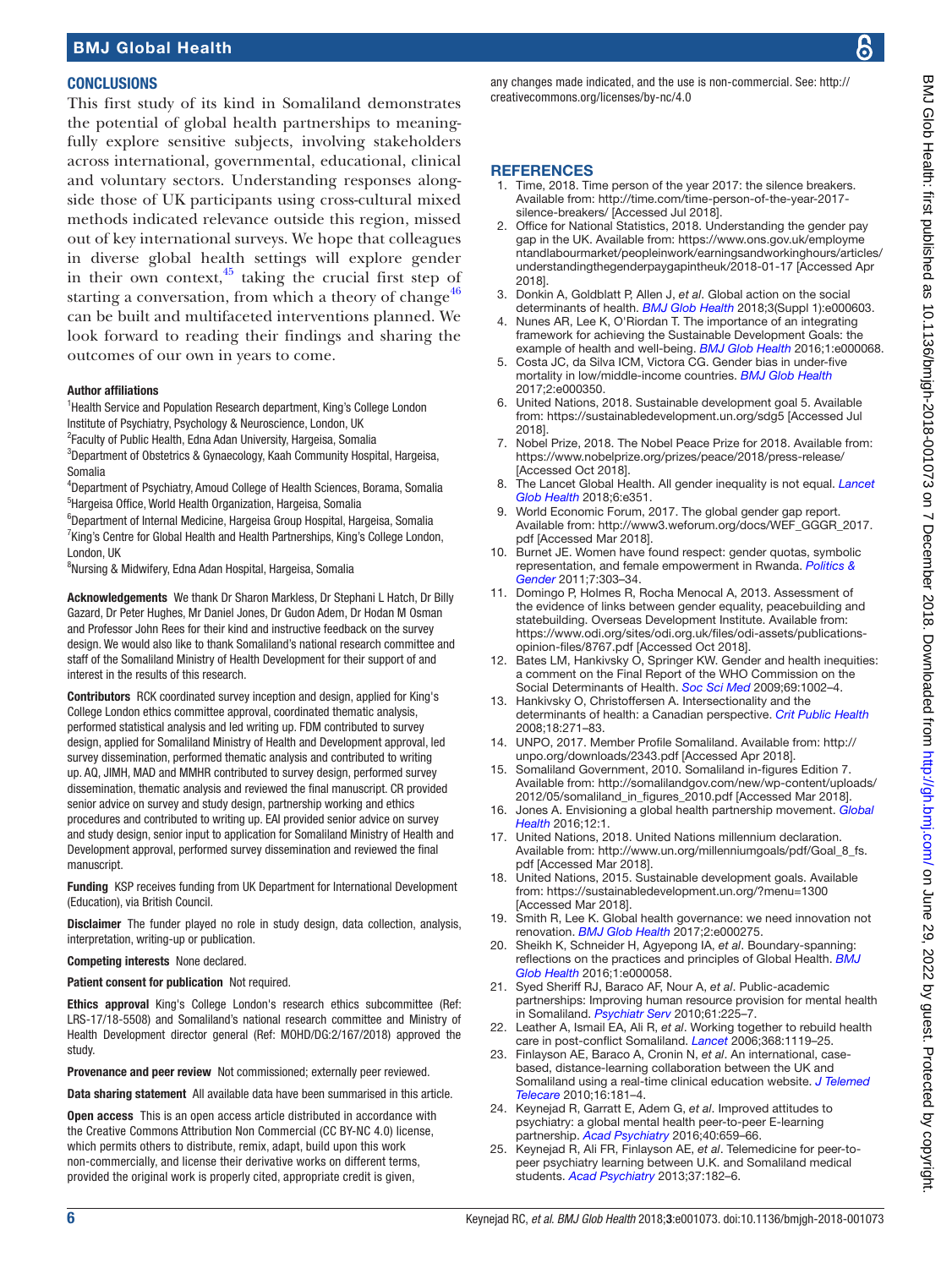#### **CONCLUSIONS**

This first study of its kind in Somaliland demonstrates the potential of global health partnerships to meaningfully explore sensitive subjects, involving stakeholders across international, governmental, educational, clinical and voluntary sectors. Understanding responses alongside those of UK participants using cross-cultural mixed methods indicated relevance outside this region, missed out of key international surveys. We hope that colleagues in diverse global health settings will explore gender in their own context, $45$  taking the crucial first step of starting a conversation, from which a theory of change<sup>[46](#page-6-19)</sup> can be built and multifaceted interventions planned. We look forward to reading their findings and sharing the outcomes of our own in years to come.

#### Author affiliations

<sup>1</sup> Health Service and Population Research department, King's College London

Institute of Psychiatry, Psychology & Neuroscience, London, UK

2 Faculty of Public Health, Edna Adan University, Hargeisa, Somalia 3 Department of Obstetrics & Gynaecology, Kaah Community Hospital, Hargeisa,

Somalia

4 Department of Psychiatry, Amoud College of Health Sciences, Borama, Somalia <sup>5</sup>Hargeisa Office, World Health Organization, Hargeisa, Somalia

6 Department of Internal Medicine, Hargeisa Group Hospital, Hargeisa, Somalia <sup>7</sup>King's Centre for Global Health and Health Partnerships, King's College London, London, UK

8 Nursing & Midwifery, Edna Adan Hospital, Hargeisa, Somalia

Acknowledgements We thank Dr Sharon Markless, Dr Stephani L Hatch, Dr Billy Gazard, Dr Peter Hughes, Mr Daniel Jones, Dr Gudon Adem, Dr Hodan M Osman and Professor John Rees for their kind and instructive feedback on the survey design. We would also like to thank Somaliland's national research committee and staff of the Somaliland Ministry of Health Development for their support of and interest in the results of this research.

Contributors RCK coordinated survey inception and design, applied for King's College London ethics committee approval, coordinated thematic analysis, performed statistical analysis and led writing up. FDM contributed to survey design, applied for Somaliland Ministry of Health and Development approval, led survey dissemination, performed thematic analysis and contributed to writing up. AQ, JIMH, MAD and MMHR contributed to survey design, performed survey dissemination, thematic analysis and reviewed the final manuscript. CR provided senior advice on survey and study design, partnership working and ethics procedures and contributed to writing up. EAI provided senior advice on survey and study design, senior input to application for Somaliland Ministry of Health and Development approval, performed survey dissemination and reviewed the final manuscript.

Funding KSP receives funding from UK Department for International Development (Education), via British Council.

Disclaimer The funder played no role in study design, data collection, analysis, interpretation, writing-up or publication.

#### Competing interests None declared.

Patient consent for publication Not required.

Ethics approval King's College London's research ethics subcommittee (Ref: LRS-17/18-5508) and Somaliland's national research committee and Ministry of Health Development director general (Ref: MOHD/DG:2/167/2018) approved the study.

Provenance and peer review Not commissioned; externally peer reviewed.

Data sharing statement All available data have been summarised in this article.

Open access This is an open access article distributed in accordance with the Creative Commons Attribution Non Commercial (CC BY-NC 4.0) license, which permits others to distribute, remix, adapt, build upon this work non-commercially, and license their derivative works on different terms, provided the original work is properly cited, appropriate credit is given,

any changes made indicated, and the use is non-commercial. See: [http://](http://creativecommons.org/licenses/by-nc/4.0) [creativecommons.org/licenses/by-nc/4.0](http://creativecommons.org/licenses/by-nc/4.0)

#### **REFERENCES**

- <span id="page-5-0"></span>1. Time, 2018. Time person of the year 2017: the silence breakers. Available from: [http://time.com/time-person-of-the-year-2017](http://time.com/time-person-of-the-year-2017-silence-breakers/) [silence-breakers/](http://time.com/time-person-of-the-year-2017-silence-breakers/) [Accessed Jul 2018].
- <span id="page-5-1"></span>2. Office for National Statistics, 2018. Understanding the gender pay gap in the UK. Available from: [https://www.ons.gov.uk/employme](https://www.ons.gov.uk/employmentandlabourmarket/peopleinwork/earningsandworkinghours/articles/understandingthegenderpaygapintheuk/2018-01-17) [ntandlabourmarket/peopleinwork/earningsandworkinghours/articles/](https://www.ons.gov.uk/employmentandlabourmarket/peopleinwork/earningsandworkinghours/articles/understandingthegenderpaygapintheuk/2018-01-17) [understandingthegenderpaygapintheuk/2018-01-17](https://www.ons.gov.uk/employmentandlabourmarket/peopleinwork/earningsandworkinghours/articles/understandingthegenderpaygapintheuk/2018-01-17) [Accessed Apr 2018].
- <span id="page-5-2"></span>3. Donkin A, Goldblatt P, Allen J, *et al*. Global action on the social determinants of health. *[BMJ Glob Health](http://dx.doi.org/10.1136/bmjgh-2017-000603)* 2018;3(Suppl 1):e000603.
- 4. Nunes AR, Lee K, O'Riordan T. The importance of an integrating framework for achieving the Sustainable Development Goals: the example of health and well-being. *[BMJ Glob Health](http://dx.doi.org/10.1136/bmjgh-2016-000068)* 2016;1:e000068.
- <span id="page-5-3"></span>5. Costa JC, da Silva ICM, Victora CG. Gender bias in under-five mortality in low/middle-income countries. *[BMJ Glob Health](http://dx.doi.org/10.1136/bmjgh-2017-000350)* 2017;2:e000350.
- <span id="page-5-4"></span>6. United Nations, 2018. Sustainable development goal 5. Available from:<https://sustainabledevelopment.un.org/sdg5>[Accessed Jul 2018].
- <span id="page-5-5"></span>7. Nobel Prize, 2018. The Nobel Peace Prize for 2018. Available from: <https://www.nobelprize.org/prizes/peace/2018/press-release/> [Accessed Oct 2018].
- <span id="page-5-6"></span>8. The Lancet Global Health. All gender inequality is not equal. *[Lancet](http://dx.doi.org/10.1016/S2214-109X(18)30105-0)  [Glob Health](http://dx.doi.org/10.1016/S2214-109X(18)30105-0)* 2018;6:e351.
- <span id="page-5-7"></span>9. World Economic Forum, 2017. The global gender gap report. Available from: [http://www3.weforum.org/docs/WEF\\_GGGR\\_2017.](http://www3.weforum.org/docs/WEF_GGGR_2017.pdf) [pdf](http://www3.weforum.org/docs/WEF_GGGR_2017.pdf) [Accessed Mar 2018].
- <span id="page-5-8"></span>10. Burnet JE. Women have found respect: gender quotas, symbolic representation, and female empowerment in Rwanda. *[Politics &](http://dx.doi.org/10.1017/S1743923X11000250)  [Gender](http://dx.doi.org/10.1017/S1743923X11000250)* 2011;7:303–34.
- <span id="page-5-9"></span>11. Domingo P, Holmes R, Rocha Menocal A, 2013. Assessment of the evidence of links between gender equality, peacebuilding and statebuilding. Overseas Development Institute. Available from: [https://www.odi.org/sites/odi.org.uk/files/odi-assets/publications](https://www.odi.org/sites/odi.org.uk/files/odi-assets/publications-opinion-files/8767.pdf)[opinion-files/8767.pdf](https://www.odi.org/sites/odi.org.uk/files/odi-assets/publications-opinion-files/8767.pdf) [Accessed Oct 2018].
- <span id="page-5-10"></span>12. Bates LM, Hankivsky O, Springer KW. Gender and health inequities: a comment on the Final Report of the WHO Commission on the Social Determinants of Health. *[Soc Sci Med](http://dx.doi.org/10.1016/j.socscimed.2009.07.021)* 2009;69:1002–4.
- <span id="page-5-11"></span>13. Hankivsky O, Christoffersen A. Intersectionality and the determinants of health: a Canadian perspective. *[Crit Public Health](http://dx.doi.org/10.1080/09581590802294296)* 2008;18:271–83.
- <span id="page-5-12"></span>14. UNPO, 2017. Member Profile Somaliland. Available from: [http://](http://unpo.org/downloads/2343.pdf) [unpo.org/downloads/2343.pdf](http://unpo.org/downloads/2343.pdf) [Accessed Apr 2018].
- <span id="page-5-13"></span>15. Somaliland Government, 2010. Somaliland in-figures Edition 7. Available from: [http://somalilandgov.com/new/wp-content/uploads/](http://somalilandgov.com/new/wp-content/uploads/2012/05/somaliland_in_figures_2010.pdf) [2012/05/somaliland\\_in\\_figures\\_2010.pdf](http://somalilandgov.com/new/wp-content/uploads/2012/05/somaliland_in_figures_2010.pdf) [Accessed Mar 2018].
- <span id="page-5-14"></span>16. Jones A. Envisioning a global health partnership movement. *[Global](http://dx.doi.org/10.1186/s12992-015-0138-4)  [Health](http://dx.doi.org/10.1186/s12992-015-0138-4)* 2016;12:1.
- <span id="page-5-15"></span>17. United Nations, 2018. United Nations millennium declaration. Available from: [http://www.un.org/millenniumgoals/pdf/Goal\\_8\\_fs.](http://www.un.org/millenniumgoals/pdf/Goal_8_fs.pdf) [pdf](http://www.un.org/millenniumgoals/pdf/Goal_8_fs.pdf) [Accessed Mar 2018].
- <span id="page-5-16"></span>18. United Nations, 2015. Sustainable development goals. Available from:<https://sustainabledevelopment.un.org/?menu=1300> [Accessed Mar 2018].
- <span id="page-5-17"></span>19. Smith R, Lee K. Global health governance: we need innovation not renovation. *[BMJ Glob Health](http://dx.doi.org/10.1136/bmjgh-2016-000275)* 2017;2:e000275.
- <span id="page-5-18"></span>20. Sheikh K, Schneider H, Agyepong IA, *et al*. Boundary-spanning: reflections on the practices and principles of Global Health. *[BMJ](http://dx.doi.org/10.1136/bmjgh-2016-000058)  [Glob Health](http://dx.doi.org/10.1136/bmjgh-2016-000058)* 2016;1:e000058.
- <span id="page-5-19"></span>21. Syed Sheriff RJ, Baraco AF, Nour A, *et al*. Public-academic partnerships: Improving human resource provision for mental health in Somaliland. *[Psychiatr Serv](http://dx.doi.org/10.1176/ps.2010.61.3.225)* 2010;61:225–7.
- <span id="page-5-20"></span>22. Leather A, Ismail EA, Ali R, *et al*. Working together to rebuild health care in post-conflict Somaliland. *[Lancet](http://dx.doi.org/10.1016/S0140-6736(06)69047-8)* 2006;368:1119–25.
- <span id="page-5-21"></span>23. Finlayson AE, Baraco A, Cronin N, *et al*. An international, casebased, distance-learning collaboration between the UK and Somaliland using a real-time clinical education website. *[J Telemed](http://dx.doi.org/10.1258/jtt.2010.004004)  [Telecare](http://dx.doi.org/10.1258/jtt.2010.004004)* 2010;16:181–4.
- <span id="page-5-22"></span>24. Keynejad R, Garratt E, Adem G, *et al*. Improved attitudes to psychiatry: a global mental health peer-to-peer E-learning partnership. *[Acad Psychiatry](http://dx.doi.org/10.1007/s40596-014-0206-8)* 2016;40:659–66.
- <span id="page-5-23"></span>25. Keynejad R, Ali FR, Finlayson AE, *et al*. Telemedicine for peer-topeer psychiatry learning between U.K. and Somaliland medical students. *[Acad Psychiatry](http://dx.doi.org/10.1176/appi.ap.11080148)* 2013;37:182–6.